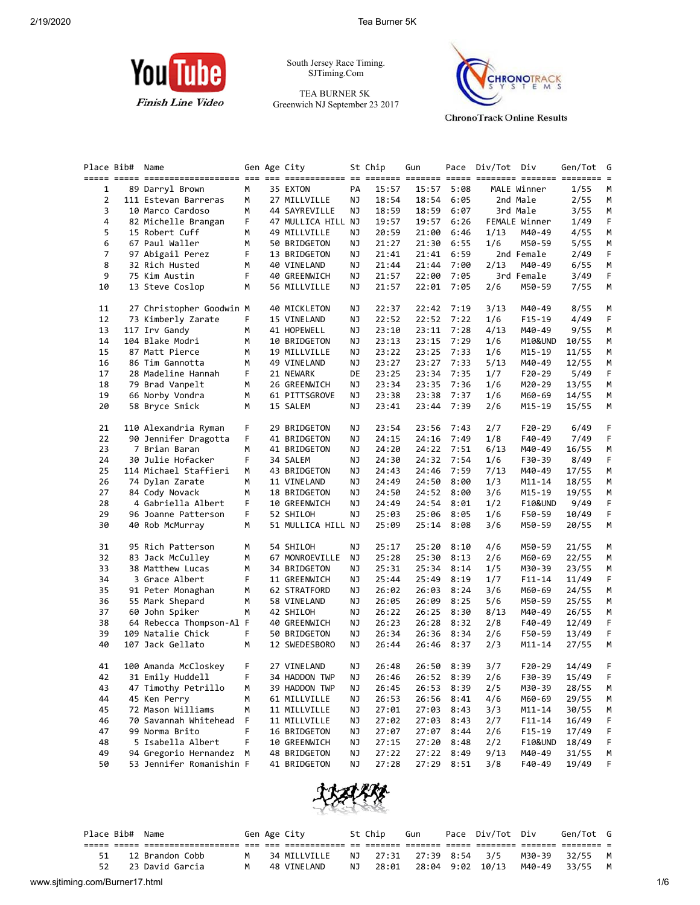

South Jersey Race Timing. SJTiming.Com

TEA BURNER 5K Greenwich NJ September 23 2017



**ChronoTrack Online Results** 

| Place Bib# | Name                     |   | Gen Age City       |    | St Chip | Gun        |      | Pace Div/Tot Div |                    | Gen/Tot | G<br>$=$ |
|------------|--------------------------|---|--------------------|----|---------|------------|------|------------------|--------------------|---------|----------|
| 1          | 89 Darryl Brown          | М | 35 EXTON           | PA | 15:57   | 15:57      | 5:08 |                  | MALE Winner        | 1/55    | М        |
| 2          | 111 Estevan Barreras     | М | 27 MILLVILLE       | ΝJ | 18:54   | 18:54      | 6:05 |                  | 2nd Male           | 2/55    | М        |
| 3          | 10 Marco Cardoso         | м | 44 SAYREVILLE      | ΝJ | 18:59   | 18:59      | 6:07 |                  | 3rd Male           | 3/55    | М        |
| 4          | 82 Michelle Brangan      | F | 47 MULLICA HILL NJ |    | 19:57   | 19:57      | 6:26 |                  | FEMALE Winner      | 1/49    | F        |
| 5          | 15 Robert Cuff           | м | 49 MILLVILLE       | ΝJ | 20:59   | 21:00      | 6:46 | 1/13             | M40-49             | 4/55    | М        |
| 6          | 67 Paul Waller           | М | 50 BRIDGETON       | ΝJ | 21:27   | 21:30      | 6:55 | 1/6              | M50-59             | 5/55    | М        |
| 7          | 97 Abigail Perez         | F | 13 BRIDGETON       | ΝJ | 21:41   | 21:41      | 6:59 |                  | 2nd Female         | 2/49    | F        |
| 8          | 32 Rich Husted           | М | 40 VINELAND        | ΝJ | 21:44   | 21:44      | 7:00 | 2/13             | M40-49             | 6/55    | М        |
| 9          | 75 Kim Austin            | F | 40 GREENWICH       | ΝJ | 21:57   | 22:00      | 7:05 |                  | 3rd Female         | 3/49    | F        |
| 10         | 13 Steve Coslop          | м | 56 MILLVILLE       | ΝJ | 21:57   | 22:01      | 7:05 | 2/6              | M50-59             | 7/55    | М        |
| 11         | 27 Christopher Goodwin M |   | 40 MICKLETON       | ΝJ | 22:37   | 22:42      | 7:19 | 3/13             | M40-49             | 8/55    | M        |
| 12         | 73 Kimberly Zarate       | F | 15 VINELAND        | ΝJ | 22:52   | 22:52      | 7:22 | 1/6              | F15-19             | 4/49    | F        |
| 13         | 117 Irv Gandy            | м | 41 HOPEWELL        | ΝJ | 23:10   | 23:11      | 7:28 | 4/13             | M40-49             | 9/55    | М        |
| 14         | 104 Blake Modri          | М | 10 BRIDGETON       | ΝJ | 23:13   | 23:15      | 7:29 | 1/6              | M10&UND            | 10/55   | M        |
| 15         | 87 Matt Pierce           | М | 19 MILLVILLE       | ΝJ | 23:22   | 23:25      | 7:33 | 1/6              | M15-19             | 11/55   | М        |
| 16         | 86 Tim Gannotta          | М | 49 VINELAND        | ΝJ | 23:27   | 23:27      | 7:33 | 5/13             | M40-49             | 12/55   | М        |
| 17         | 28 Madeline Hannah       | F | 21 NEWARK          | DE | 23:25   | 23:34      | 7:35 | 1/7              | F20-29             | 5/49    | F        |
| 18         | 79 Brad Vanpelt          | м | 26 GREENWICH       | ΝJ | 23:34   | 23:35      | 7:36 | 1/6              | M20-29             | 13/55   | М        |
| 19         | 66 Norby Vondra          | М | 61 PITTSGROVE      | ΝJ | 23:38   | 23:38      | 7:37 | 1/6              | M60-69             | 14/55   | М        |
| 20         | 58 Bryce Smick           | м | 15 SALEM           | ΝJ | 23:41   | 23:44      | 7:39 | 2/6              | M15-19             | 15/55   | М        |
| 21         | 110 Alexandria Ryman     | F | 29 BRIDGETON       | ΝJ | 23:54   | 23:56      | 7:43 | 2/7              | F20-29             | 6/49    | F        |
| 22         | 90 Jennifer Dragotta     | F | 41 BRIDGETON       | ΝJ | 24:15   | 24:16      | 7:49 | 1/8              | F40-49             | 7/49    | F        |
| 23         | 7 Brian Baran            | М | 41 BRIDGETON       | ΝJ | 24:20   | 24:22      | 7:51 | 6/13             | M40-49             | 16/55   | М        |
| 24         | 30 Julie Hofacker        | F | 34 SALEM           | ΝJ | 24:30   | 24:32      | 7:54 | 1/6              | F30-39             | 8/49    | F        |
| 25         | 114 Michael Staffieri    | м | 43 BRIDGETON       | ΝJ | 24:43   | 24:46      | 7:59 | 7/13             | M40-49             | 17/55   | М        |
| 26         | 74 Dylan Zarate          | М | 11 VINELAND        | ΝJ | 24:49   | 24:50      | 8:00 | 1/3              | M11-14             | 18/55   | М        |
| 27         | 84 Cody Novack           | М | 18 BRIDGETON       | ΝJ | 24:50   | 24:52      | 8:00 | 3/6              | M15-19             | 19/55   | М        |
| 28         | 4 Gabriella Albert       | F | 10 GREENWICH       | ΝJ | 24:49   | 24:54      | 8:01 | 1/2              | <b>F10&amp;UND</b> | 9/49    | F        |
| 29         | 96 Joanne Patterson      | F | 52 SHILOH          | ΝJ | 25:03   | 25:06      | 8:05 | 1/6              | F50-59             | 10/49   | F        |
| 30         | 40 Rob McMurray          | М | 51 MULLICA HILL NJ |    | 25:09   | 25:14      | 8:08 | 3/6              | M50-59             | 20/55   | М        |
| 31         | 95 Rich Patterson        | м | 54 SHILOH          | ΝJ | 25:17   | 25:20      | 8:10 | 4/6              | M50-59             | 21/55   | M        |
| 32         | 83 Jack McCulley         | м | 67 MONROEVILLE     | ΝJ | 25:28   | 25:30      | 8:13 | 2/6              | M60-69             | 22/55   | M        |
| 33         | 38 Matthew Lucas         | м | 34 BRIDGETON       | ΝJ | 25:31   | 25:34      | 8:14 | 1/5              | M30-39             | 23/55   | M        |
| 34         | 3 Grace Albert           | F | 11 GREENWICH       | ΝJ | 25:44   | 25:49      | 8:19 | 1/7              | F11-14             | 11/49   | F        |
| 35         | 91 Peter Monaghan        | м | 62 STRATFORD       | ΝJ | 26:02   | 26:03      | 8:24 | 3/6              | M60-69             | 24/55   | М        |
| 36         | 55 Mark Shepard          | м | 58 VINELAND        | ΝJ | 26:05   | 26:09      | 8:25 | 5/6              | M50-59             | 25/55   | M        |
| 37         | 60 John Spiker           | М | 42 SHILOH          | ΝJ | 26:22   | 26:25      | 8:30 | 8/13             | M40-49             | 26/55   | М        |
| 38         | 64 Rebecca Thompson-Al F |   | 40 GREENWICH       | ΝJ | 26:23   | 26:28      | 8:32 | 2/8              | F40-49             | 12/49   | F.       |
| 39         | 109 Natalie Chick        | F | 50 BRIDGETON       | ΝJ | 26:34   | 26:36      | 8:34 | 2/6              | F50-59             | 13/49   | F.       |
| 40         | 107 Jack Gellato         | м | 12 SWEDESBORO      | ΝJ | 26:44   | 26:46      | 8:37 | 2/3              | M11-14             | 27/55   | М        |
| 41         | 100 Amanda McCloskey     | F | 27 VINELAND        | ΝJ | 26:48   | 26:50      | 8:39 | 3/7              | F20-29             | 14/49   | F        |
| 42         | 31 Emily Huddell         | F | 34 HADDON TWP      | ΝJ | 26:46   | 26:52 8:39 |      | 2/6              | F30-39             | 15/49   | F        |
| 43         | 47 Timothy Petrillo      | м | 39 HADDON TWP      | ΝJ | 26:45   | 26:53      | 8:39 | 2/5              | M30-39             | 28/55   | M        |
| 44         | 45 Ken Perry             | М | 61 MILLVILLE       | ΝJ | 26:53   | 26:56      | 8:41 | 4/6              | M60-69             | 29/55   | M        |
| 45         | 72 Mason Williams        | м | 11 MILLVILLE       | ΝJ | 27:01   | 27:03      | 8:43 | 3/3              | M11-14             | 30/55   | M        |
| 46         | 70 Savannah Whitehead    | F | 11 MILLVILLE       | ΝJ | 27:02   | 27:03      | 8:43 | 2/7              | F11-14             | 16/49   | F        |
| 47         | 99 Norma Brito           | F | 16 BRIDGETON       | ΝJ | 27:07   | 27:07      | 8:44 | 2/6              | F15-19             | 17/49   | F        |
| 48         | 5 Isabella Albert        | F | 10 GREENWICH       | ΝJ | 27:15   | 27:20      | 8:48 | 2/2              | F10&UND            | 18/49   | F        |
| 49         | 94 Gregorio Hernandez    | М | 48 BRIDGETON       | ΝJ | 27:22   | 27:22      | 8:49 | 9/13             | M40-49             | 31/55   | M        |
| 50         | 53 Jennifer Romanishin F |   | 41 BRIDGETON       | ΝJ | 27:28   | 27:29      | 8:51 | 3/8              | F40-49             | 19/49   | F        |



| Place Bib# Name |                 |   | Gen Age City |     | St Chip                 | Gun | Pace Div/Tot Div              |              | Gen/Tot G |  |
|-----------------|-----------------|---|--------------|-----|-------------------------|-----|-------------------------------|--------------|-----------|--|
|                 |                 |   |              |     |                         |     |                               |              |           |  |
| 51              | 12 Brandon Cobb | м | 34 MILLVILLE |     | NJ 27:31 27:39 8:54 3/5 |     |                               | M30-39 32/55 |           |  |
|                 | 23 David Garcia | м | 48 VINELAND  | NJ. | 28:01                   |     | 28:04 9:02 10/13 M40-49 33/55 |              |           |  |
|                 |                 |   |              |     |                         |     |                               |              |           |  |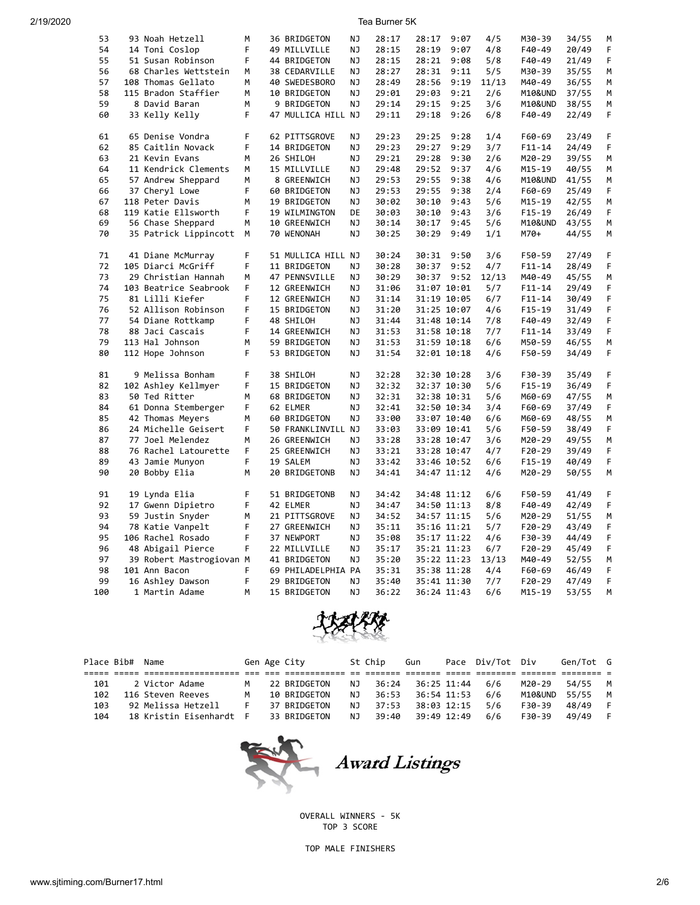| 53  | 93 Noah Hetzell          | M  | 36 BRIDGETON       | NJ        | 28:17 | 28:17       | 9:07 | 4/5   | M30-39     | 34/55 | M  |
|-----|--------------------------|----|--------------------|-----------|-------|-------------|------|-------|------------|-------|----|
| 54  | 14 Toni Coslop           | F  | 49 MILLVILLE       | NJ        | 28:15 | 28:19       | 9:07 | 4/8   | F40-49     | 20/49 | F  |
| 55  | 51 Susan Robinson        | F  | 44 BRIDGETON       | ΝJ        | 28:15 | 28:21       | 9:08 | 5/8   | F40-49     | 21/49 | F. |
| 56  | 68 Charles Wettstein     | М  | 38 CEDARVILLE      | ΝJ        | 28:27 | 28:31       | 9:11 | 5/5   | M30-39     | 35/55 | M  |
| 57  | 108 Thomas Gellato       | M  | 40 SWEDESBORO      | NJ        | 28:49 | 28:56       | 9:19 | 11/13 | M40-49     | 36/55 | M  |
| 58  | 115 Bradon Staffier      | M  | 10 BRIDGETON       | NJ        | 29:01 | 29:03       | 9:21 | 2/6   | M10&UND    | 37/55 | М  |
| 59  | 8 David Baran            | М  | 9 BRIDGETON        | ΝJ        | 29:14 | 29:15       | 9:25 | 3/6   | M10&UND    | 38/55 | М  |
| 60  | 33 Kelly Kelly           | F  | 47 MULLICA HILL NJ |           | 29:11 | 29:18       | 9:26 | 6/8   | F40-49     | 22/49 | F  |
| 61  | 65 Denise Vondra         | F  | 62 PITTSGROVE      | ΝJ        | 29:23 | 29:25       | 9:28 | 1/4   | F60-69     | 23/49 | F. |
| 62  | 85 Caitlin Novack        | F  | 14 BRIDGETON       | <b>NJ</b> | 29:23 | 29:27       | 9:29 | 3/7   | F11-14     | 24/49 | F  |
| 63  | 21 Kevin Evans           | M  | 26 SHILOH          | NJ        | 29:21 | 29:28       | 9:30 | 2/6   | M20-29     | 39/55 | M  |
| 64  | 11 Kendrick Clements     | М  | 15 MILLVILLE       | NJ        | 29:48 | 29:52       | 9:37 | 4/6   | M15-19     | 40/55 | М  |
|     |                          |    |                    |           |       |             |      |       |            |       |    |
| 65  | 57 Andrew Sheppard       | M  | 8 GREENWICH        | NJ        | 29:53 | 29:55       | 9:38 | 4/6   | M10&UND    | 41/55 | M  |
| 66  | 37 Cheryl Lowe           | F  | 60 BRIDGETON       | NJ        | 29:53 | 29:55       | 9:38 | 2/4   | F60-69     | 25/49 | F  |
| 67  | 118 Peter Davis          | M  | 19 BRIDGETON       | NJ        | 30:02 | 30:10       | 9:43 | 5/6   | M15-19     | 42/55 | M  |
| 68  | 119 Katie Ellsworth      | F  | 19 WILMINGTON      | DE        | 30:03 | 30:10       | 9:43 | 3/6   | $F15-19$   | 26/49 | F  |
| 69  | 56 Chase Sheppard        | M  | 10 GREENWICH       | ΝJ        | 30:14 | 30:17       | 9:45 | 5/6   | M10&UND    | 43/55 | M  |
| 70  | 35 Patrick Lippincott    | M  | 70 WENONAH         | NJ        | 30:25 | 30:29       | 9:49 | 1/1   | M70+       | 44/55 | M  |
| 71  | 41 Diane McMurray        | F  | 51 MULLICA HILL NJ |           | 30:24 | 30:31       | 9:50 | 3/6   | F50-59     | 27/49 | F  |
| 72  | 105 Diarci McGriff       | F  | 11 BRIDGETON       | <b>NJ</b> | 30:28 | 30:37       | 9:52 | 4/7   | $F11 - 14$ | 28/49 | F  |
| 73  | 29 Christian Hannah      | M  | 47 PENNSVILLE      | NJ        | 30:29 | 30:37       | 9:52 | 12/13 | M40-49     | 45/55 | M  |
| 74  | 103 Beatrice Seabrook    | F  | 12 GREENWICH       | NJ        | 31:06 | 31:07 10:01 |      | 5/7   | $F11 - 14$ | 29/49 | F  |
| 75  | 81 Lilli Kiefer          | F. | 12 GREENWICH       | NJ        | 31:14 | 31:19 10:05 |      | 6/7   | F11-14     | 30/49 | F  |
| 76  |                          | F  |                    |           | 31:20 |             |      |       |            |       | F  |
|     | 52 Allison Robinson      |    | 15 BRIDGETON       | NJ        |       | 31:25 10:07 |      | 4/6   | $F15-19$   | 31/49 |    |
| 77  | 54 Diane Rottkamp        | F  | 48 SHILOH          | ΝJ        | 31:44 | 31:48 10:14 |      | 7/8   | F40-49     | 32/49 | F  |
| 78  | 88 Jaci Cascais          | F  | 14 GREENWICH       | ΝJ        | 31:53 | 31:58 10:18 |      | 7/7   | $F11 - 14$ | 33/49 | F  |
| 79  | 113 Hal Johnson          | М  | 59 BRIDGETON       | ΝJ        | 31:53 | 31:59 10:18 |      | 6/6   | M50-59     | 46/55 | M  |
| 80  | 112 Hope Johnson         | F  | 53 BRIDGETON       | ΝJ        | 31:54 | 32:01 10:18 |      | 4/6   | F50-59     | 34/49 | F  |
| 81  | 9 Melissa Bonham         | F  | 38 SHILOH          | ΝJ        | 32:28 | 32:30 10:28 |      | 3/6   | F30-39     | 35/49 | F  |
| 82  | 102 Ashley Kellmyer      | F  | 15 BRIDGETON       | NJ        | 32:32 | 32:37 10:30 |      | 5/6   | F15-19     | 36/49 | F  |
| 83  | 50 Ted Ritter            | M  | 68 BRIDGETON       | ΝJ        | 32:31 | 32:38 10:31 |      | 5/6   | M60-69     | 47/55 | M  |
| 84  | 61 Donna Stemberger      | F  | 62 ELMER           | <b>NJ</b> | 32:41 | 32:50 10:34 |      | 3/4   | F60-69     | 37/49 | F  |
| 85  | 42 Thomas Meyers         | M  | 60 BRIDGETON       | NJ        | 33:00 | 33:07 10:40 |      | 6/6   | M60-69     | 48/55 | М  |
| 86  | 24 Michelle Geisert      | F  | 50 FRANKLINVILL NJ |           | 33:03 | 33:09 10:41 |      | 5/6   | F50-59     | 38/49 | F  |
| 87  | 77 Joel Melendez         | M  | 26 GREENWICH       | NJ        | 33:28 | 33:28 10:47 |      | 3/6   | M20-29     | 49/55 | M  |
| 88  | 76 Rachel Latourette     | F  | 25 GREENWICH       | NJ        | 33:21 | 33:28 10:47 |      | 4/7   | F20-29     | 39/49 | F  |
| 89  |                          | F  | 19 SALEM           | NJ        | 33:42 | 33:46 10:52 |      | 6/6   |            | 40/49 | F  |
|     | 43 Jamie Munyon          |    |                    |           |       |             |      |       | F15-19     |       |    |
| 90  | 20 Bobby Elia            | M  | 20 BRIDGETONB      | NJ        | 34:41 | 34:47 11:12 |      | 4/6   | M20-29     | 50/55 | M  |
| 91  | 19 Lynda Elia            | F  | 51 BRIDGETONB      | ΝJ        | 34:42 | 34:48 11:12 |      | 6/6   | F50-59     | 41/49 | F  |
| 92  | 17 Gwenn Dipietro        | F  | 42 ELMER           | NJ        | 34:47 | 34:50 11:13 |      | 8/8   | F40-49     | 42/49 | F  |
| 93  | 59 Justin Snyder         | М  | 21 PITTSGROVE      | NJ        | 34:52 | 34:57 11:15 |      | 5/6   | M20-29     | 51/55 | М  |
| 94  | 78 Katie Vanpelt         | F  | 27 GREENWICH       | ΝJ        | 35:11 | 35:16 11:21 |      | 5/7   | F20-29     | 43/49 | F  |
| 95  | 106 Rachel Rosado        | F  | 37 NEWPORT         | NJ        | 35:08 | 35:17 11:22 |      | 4/6   | F30-39     | 44/49 | F  |
| 96  | 48 Abigail Pierce        | F  | 22 MILLVILLE       | <b>NJ</b> | 35:17 | 35:21 11:23 |      | 6/7   | F20-29     | 45/49 | F  |
| 97  | 39 Robert Mastrogiovan M |    | 41 BRIDGETON       | ΝJ        | 35:20 | 35:22 11:23 |      | 13/13 | M40-49     | 52/55 | М  |
| 98  | 101 Ann Bacon            | F  | 69 PHILADELPHIA PA |           | 35:31 | 35:38 11:28 |      | 4/4   | F60-69     | 46/49 | F  |
| 99  | 16 Ashley Dawson         | F  | 29 BRIDGETON       | NJ        | 35:40 | 35:41 11:30 |      | 7/7   | F20-29     | 47/49 | F  |
| 100 | 1 Martin Adame           | M  | 15 BRIDGETON       | <b>NJ</b> | 36:22 | 36:24 11:43 |      | 6/6   | M15-19     | 53/55 | M  |
|     |                          |    |                    |           |       |             |      |       |            |       |    |



| Place Bib# | Name               |                         |   | Gen Age City |     | St Chip | Gun         | Pace Div/Tot Div |         | Gen/Tot G |  |
|------------|--------------------|-------------------------|---|--------------|-----|---------|-------------|------------------|---------|-----------|--|
|            |                    |                         |   |              |     |         |             |                  |         |           |  |
| 101        | 2 Victor Adame     |                         |   | 22 BRIDGETON | NJ. | 36:24   | 36:25 11:44 | 6/6              | M20-29  | 54/55     |  |
| 102        | 116 Steven Reeves  |                         | м | 10 BRIDGETON | N J | 36:53   | 36:54 11:53 | 6/6              | M10&UND | 55/55     |  |
| 103        | 92 Melissa Hetzell |                         |   | 37 BRIDGETON | NJ  | 37:53   | 38:03 12:15 | 5/6              | F30-39  | 48/49     |  |
| 104        |                    | 18 Kristin Eisenhardt F |   | 33 BRIDGETON | NJ  | 39:40   | 39:49 12:49 | 6/6              | F30-39  | 49/49     |  |



OVERALL WINNERS - 5K TOP 3 SCORE

TOP MALE FINISHERS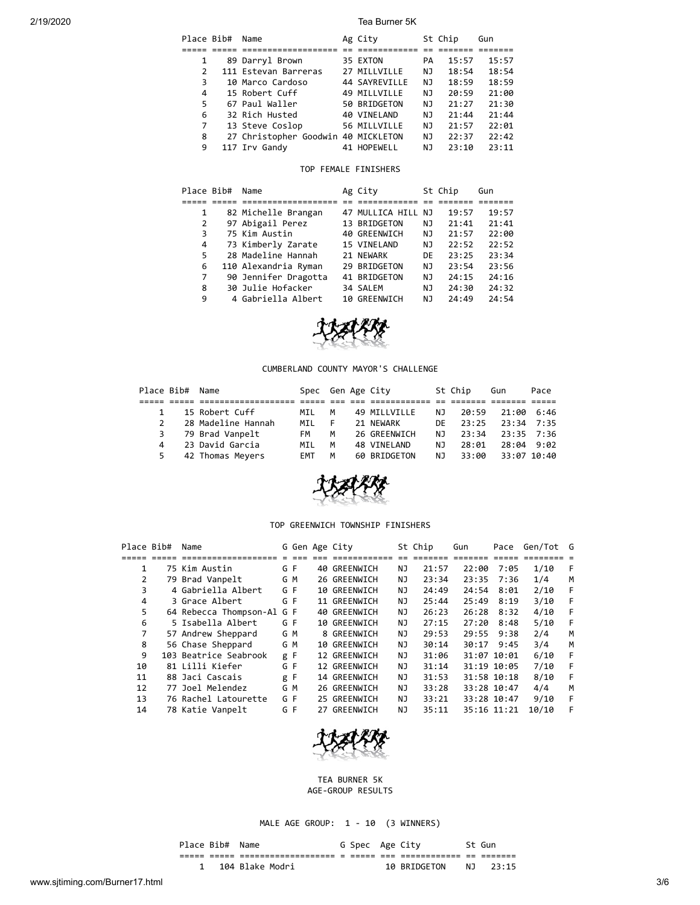|               | Place Bib# | Name                                | Ag City       |    | St Chip | Gun   |
|---------------|------------|-------------------------------------|---------------|----|---------|-------|
|               |            |                                     |               |    |         |       |
|               |            | 89 Darryl Brown                     | 35 EXTON      | PA | 15:57   | 15:57 |
| $\mathcal{P}$ |            | 111 Estevan Barreras                | 27 MILLVILLE  | NJ | 18:54   | 18:54 |
| 3             |            | 10 Marco Cardoso                    | 44 SAYREVILLE | NJ | 18:59   | 18:59 |
| 4             |            | 15 Robert Cuff                      | 49 MILLVILLE  | NJ | 20:59   | 21:00 |
| 5             |            | 67 Paul Waller                      | 50 BRIDGETON  | NJ | 21:27   | 21:30 |
| 6             |            | 32 Rich Husted                      | 40 VINELAND   | NJ | 21:44   | 21:44 |
| 7             |            | 13 Steve Coslop                     | 56 MILLVILLE  | NJ | 21:57   | 22:01 |
| 8             |            | 27 Christopher Goodwin 40 MICKLETON |               | NJ | 22:37   | 22:42 |
| 9             |            | 117 Irv Gandy                       | 41 HOPEWELL   | ΝJ | 23:10   | 23:11 |

# TOP FEMALE FINISHERS

|   | Place Bib# | Name                 | Ag City            |    | St Chip | Gun   |
|---|------------|----------------------|--------------------|----|---------|-------|
|   |            |                      |                    |    |         |       |
| 1 |            | 82 Michelle Brangan  | 47 MULLICA HILL NJ |    | 19:57   | 19:57 |
| 2 |            | 97 Abigail Perez     | 13 BRIDGETON       | ΝJ | 21:41   | 21:41 |
| 3 |            | 75 Kim Austin        | 40 GREENWICH       | NJ | 21:57   | 22:00 |
| 4 |            | 73 Kimberly Zarate   | 15 VINELAND        | NJ | 22:52   | 22:52 |
| 5 |            | 28 Madeline Hannah   | 21 NEWARK          | DE | 23:25   | 23:34 |
| 6 |            | 110 Alexandria Ryman | 29 BRIDGETON       | NJ | 23:54   | 23:56 |
| 7 |            | 90 Jennifer Dragotta | 41 BRIDGETON       | NJ | 24:15   | 24:16 |
| 8 |            | 30 Julie Hofacker    | 34 SALEM           | NJ | 24:30   | 24:32 |
| 9 |            | 4 Gabriella Albert   | 10 GREENWICH       | NJ | 24:49   | 24:54 |



### CUMBERLAND COUNTY MAYOR'S CHALLENGE

| Place Bib# Name |                    | Spec Gen Age City |    |              |              | St Chip | Gun            | Pace |
|-----------------|--------------------|-------------------|----|--------------|--------------|---------|----------------|------|
|                 |                    |                   |    |              |              |         |                |      |
|                 | 15 Robert Cuff     | MIL               | M  | 49 MILLVILLE | NJ           | 20:59   | 21:00 6:46     |      |
|                 | 28 Madeline Hannah | MTI               | E. | 21 NFWARK    | DE <b>DE</b> | 23:25   | $23:34$ $7:35$ |      |
| 3               | 79 Brad Vanpelt    | FM                | M  | 26 GREENWICH | NJ.          | 23:34   | $23:35$ $7:36$ |      |
| 4               | 23 David Garcia    | MIL               | м  | 48 VINELAND  | NJ.          | 28:01   | 28:04 9:02     |      |
|                 | 42 Thomas Meyers   | <b>FMT</b>        | M  | 60 BRIDGETON | NJ           | 33:00   | 33:07 10:40    |      |



#### TOP GREENWICH TOWNSHIP FINISHERS

| Place Bib# | Name                   |     |    | G Gen Age City |     | St Chip | Gun   | Pace        | Gen/Tot G |   |
|------------|------------------------|-----|----|----------------|-----|---------|-------|-------------|-----------|---|
|            |                        |     |    |                |     |         |       |             |           |   |
| 1          | 75 Kim Austin          | G F |    | 40 GREENWICH   | ΝJ  | 21:57   | 22:00 | 7:05        | 1/10      | F |
| 2          | 79 Brad Vanpelt        | G M |    | 26 GREENWICH   | ΝJ  | 23:34   | 23:35 | 7:36        | 1/4       | M |
| 3          | 4 Gabriella Albert     | G F |    | 10 GREENWICH   | ΝJ  | 24:49   | 24:54 | 8:01        | 2/10      | F |
| 4          | 3 Grace Albert         | G F |    | 11 GREENWICH   | ΝJ  | 25:44   | 25:49 | 8:19        | 3/10      | F |
| 5          | 64 Rebecca Thompson-Al | G F |    | 40 GREENWICH   | ΝJ  | 26:23   | 26:28 | 8:32        | 4/10      | F |
| 6          | 5 Isabella Albert      | G F |    | 10 GREENWICH   | ΝJ  | 27:15   | 27:20 | 8:48        | 5/10      | F |
| 7          | 57 Andrew Sheppard     | G M |    | 8 GREENWICH    | ΝJ  | 29:53   | 29:55 | 9:38        | 2/4       | M |
| 8          | 56 Chase Sheppard      | G M |    | 10 GREENWICH   | ΝJ  | 30:14   | 30:17 | 9:45        | 3/4       | M |
| 9          | 103 Beatrice Seabrook  | g F |    | 12 GREENWICH   | NJ  | 31:06   |       | 31:07 10:01 | 6/10      | F |
| 10         | 81 Lilli Kiefer        | G F |    | 12 GREENWICH   | ΝJ  | 31:14   |       | 31:19 10:05 | 7/10      | F |
| 11         | 88 Jaci Cascais        | g   | -F | 14 GREENWICH   | NJ. | 31:53   |       | 31:58 10:18 | 8/10      | F |
| 12         | 77 Joel Melendez       | G M |    | 26 GREENWICH   | ΝJ  | 33:28   |       | 33:28 10:47 | 4/4       | M |
| 13         | 76 Rachel Latourette   | G F |    | 25 GREENWICH   | ΝJ  | 33:21   |       | 33:28 10:47 | 9/10      | F |
| 14         | 78 Katie Vanpelt       | G F |    | 27 GREENWICH   | NJ  | 35:11   |       | 35:16 11:21 | 10/10     | F |



TEA BURNER 5K AGE-GROUP RESULTS

MALE AGE GROUP: 1 - 10 (3 WINNERS)

| Place Bib# Name |                 | G Spec Age City |              |      | St Gun |
|-----------------|-----------------|-----------------|--------------|------|--------|
|                 |                 |                 |              | $ -$ |        |
|                 | 104 Blake Modri |                 | 10 BRIDGETON | NJ   | 23:15  |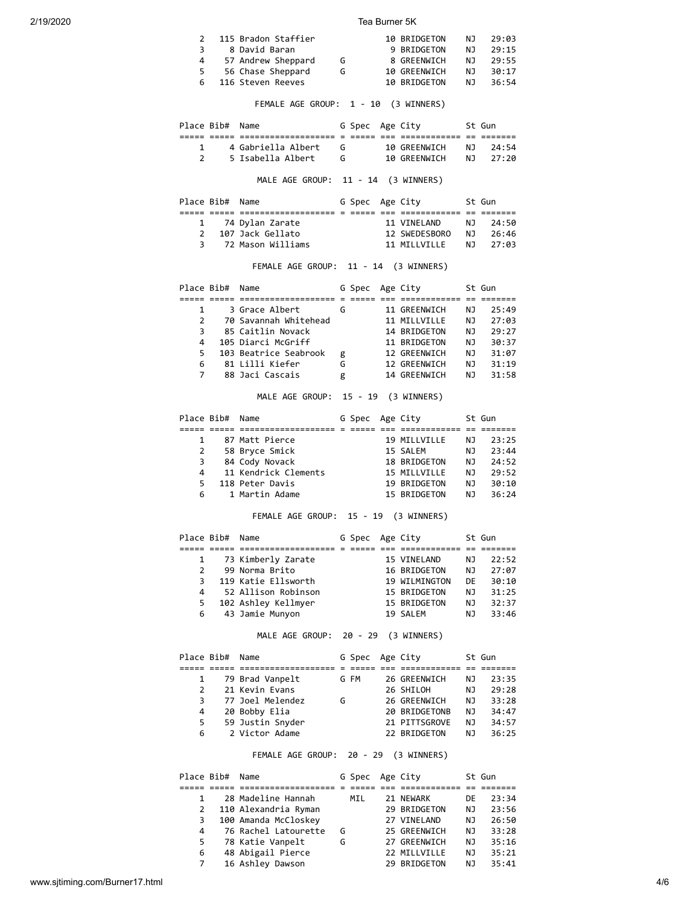| $\mathcal{P}$ | 115 Bradon Staffier |   | 10 BRIDGETON | NJ. | 29:03 |
|---------------|---------------------|---|--------------|-----|-------|
| 3             | 8 David Baran       |   | 9 BRIDGETON  | N J | 29:15 |
| 4             | 57 Andrew Sheppard  | G | 8 GREENWICH  | N J | 29:55 |
| 5.            | 56 Chase Sheppard   | G | 10 GREENWICH | N J | 30:17 |
|               | 6 116 Steven Reeves |   | 10 BRIDGETON | N J | 36:54 |
|               |                     |   |              |     |       |

FEMALE AGE GROUP: 1 - 10 (3 WINNERS)

| Place Bib# Name |                    | G Spec Age City |              |     | St Gun  |
|-----------------|--------------------|-----------------|--------------|-----|---------|
|                 |                    |                 |              |     |         |
|                 | 4 Gabriella Albert |                 | 10 GRFFNWTCH | NJ. | - 24:54 |
|                 | 5 Isabella Albert  |                 | 10 GREENWICH | N T | 27:20   |
|                 |                    |                 |              |     |         |

MALE AGE GROUP: 11 - 14 (3 WINNERS)

|               | Place Bib# Name |                   | G Spec Age City |               |     | St Gun   |
|---------------|-----------------|-------------------|-----------------|---------------|-----|----------|
|               |                 |                   |                 |               |     |          |
|               |                 | 1 74 Dylan Zarate |                 | 11 VTNFI AND  | NJ. | 24:50    |
| $\mathcal{P}$ |                 | 107 Jack Gellato  |                 | 12 SWEDESBORO | N J | - 26:46  |
|               |                 | 72 Mason Williams |                 | 11 MTIIVTIIF  |     | NT 27:03 |

FEMALE AGE GROUP: 11 - 14 (3 WINNERS)

| Place Bib#    | Name                  |   | G Spec | Age City     |    | St Gun |
|---------------|-----------------------|---|--------|--------------|----|--------|
|               |                       |   |        |              |    |        |
|               | 3 Grace Albert        | G |        | 11 GREENWICH | ΝJ | 25:49  |
| $\mathcal{P}$ | 70 Savannah Whitehead |   |        | 11 MTIIVTIIF | ΝJ | 27:03  |
| 3             | 85 Caitlin Novack     |   |        | 14 BRIDGETON | ΝJ | 29:27  |
| 4             | 105 Diarci McGriff    |   |        | 11 BRIDGETON | ΝJ | 30:37  |
| 5             | 103 Beatrice Seabrook | g |        | 12 GREENWICH | ΝJ | 31:07  |
| 6             | 81 Lilli Kiefer       | G |        | 12 GREENWICH | ΝJ | 31:19  |
|               | 88 Jaci Cascais       | g |        | 14 GREENWICH | ΝJ | 31:58  |

MALE AGE GROUP: 15 - 19 (3 WINNERS)

|   | Place Bib# Name |                      | G Spec Age City |              |     | St Gun |
|---|-----------------|----------------------|-----------------|--------------|-----|--------|
|   |                 |                      |                 |              |     |        |
|   |                 | 87 Matt Pierce       |                 | 19 MILLVILLE | ΝJ  | 23:25  |
| 2 |                 | 58 Bryce Smick       |                 | 15 SALEM     | ΝJ  | 23:44  |
| 3 |                 | 84 Cody Novack       |                 | 18 BRIDGETON | NJ. | 24:52  |
| 4 |                 | 11 Kendrick Clements |                 | 15 MILLVILLE | ΝJ  | 29:52  |
| 5 |                 | 118 Peter Davis      |                 | 19 BRIDGETON | ΝJ  | 30:10  |
| 6 |                 | 1 Martin Adame       |                 | 15 BRIDGETON | ΝJ  | 36:24  |

FEMALE AGE GROUP: 15 - 19 (3 WINNERS)

|               | Place Bib# Name |                     | G Spec Age City |               |     | St Gun |
|---------------|-----------------|---------------------|-----------------|---------------|-----|--------|
|               |                 |                     |                 |               |     |        |
|               |                 | 73 Kimberly Zarate  |                 | 15 VINELAND   | NJ. | 22:52  |
| $\mathcal{P}$ |                 | 99 Norma Brito      |                 | 16 BRIDGETON  | NJ. | 27:07  |
| 3             |                 | 119 Katie Ellsworth |                 | 19 WILMINGTON | DE  | 30:10  |
| 4             |                 | 52 Allison Robinson |                 | 15 BRIDGETON  | ΝJ  | 31:25  |
| 5             |                 | 102 Ashley Kellmyer |                 | 15 BRIDGETON  | ΝJ  | 32:37  |
| 6             |                 | 43 Jamie Munyon     |                 | 19 SALEM      | ΝJ  | 33:46  |

MALE AGE GROUP: 20 - 29 (3 WINNERS)

|   | Place Bib# Name |                  |   | G Spec Age City |               |     | St Gun |
|---|-----------------|------------------|---|-----------------|---------------|-----|--------|
|   |                 |                  |   |                 |               |     |        |
|   |                 | 79 Brad Vanpelt  |   | G FM            | 26 GREENWICH  | NJ. | 23:35  |
|   |                 | 21 Kevin Evans   |   |                 | 26 SHILOH     | ΝJ  | 29:28  |
| 3 |                 | 77 Joel Melendez | G |                 | 26 GREENWICH  | NJ. | 33:28  |
| 4 |                 | 20 Bobby Elia    |   |                 | 20 BRIDGETONB | ΝJ  | 34:47  |
| 5 |                 | 59 Justin Snyder |   |                 | 21 PITTSGROVE | ΝJ  | 34:57  |
| 6 |                 | 2 Victor Adame   |   |                 | 22 BRIDGETON  | ΝJ  | 36:25  |

FEMALE AGE GROUP: 20 - 29 (3 WINNERS)

| Place Bib# | Name                 |   | G Spec Age City |              |    | St Gun |
|------------|----------------------|---|-----------------|--------------|----|--------|
|            |                      |   |                 |              |    |        |
|            | 28 Madeline Hannah   |   | MIL             | 21 NEWARK    | DE | 23:34  |
| 2          | 110 Alexandria Ryman |   |                 | 29 BRIDGETON | ΝJ | 23:56  |
| 3          | 100 Amanda McCloskey |   |                 | 27 VINELAND  | ΝJ | 26:50  |
| 4          | 76 Rachel Latourette | G |                 | 25 GREENWICH | ΝJ | 33:28  |
| 5.         | 78 Katie Vanpelt     | G |                 | 27 GREENWICH | ΝJ | 35:16  |
| 6          | 48 Abigail Pierce    |   |                 | 22 MILLVILLE | ΝJ | 35:21  |
|            | 16 Ashley Dawson     |   |                 | 29 BRIDGETON | ΝJ | 35:41  |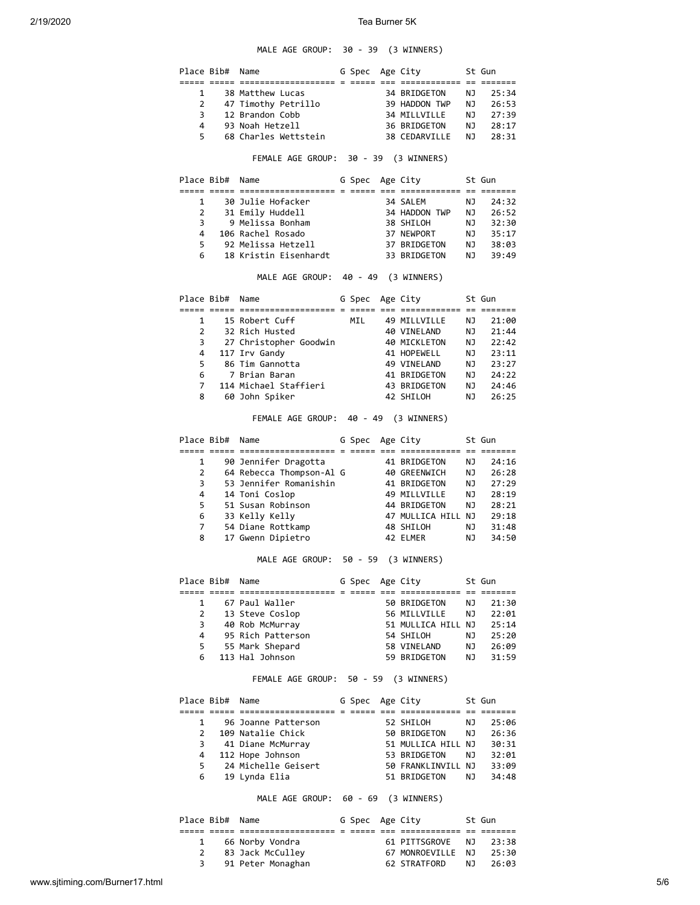# MALE AGE GROUP: 30 - 39 (3 WINNERS)

|                             | 12 Brandon Cobb<br>93 Noah Hetzell<br>68 Charles Wettstein<br>FEMALE AGE GROUP: 30 - 39 (3 WINNERS) |                                                                                                                                                                                                                                                                                                                                                                                                                                                  |                       |                                                  | 34 MILLVILLE<br>36 BRIDGETON                              | NJ<br><b>NJ</b><br>NJ<br>NJ                                                                                                                                                                                                                                                                                                                                                                                                                                                                                                                                           | 25:34<br>26:53<br>27:39<br>28:17                                                                                                                                                                                             |
|-----------------------------|-----------------------------------------------------------------------------------------------------|--------------------------------------------------------------------------------------------------------------------------------------------------------------------------------------------------------------------------------------------------------------------------------------------------------------------------------------------------------------------------------------------------------------------------------------------------|-----------------------|--------------------------------------------------|-----------------------------------------------------------|-----------------------------------------------------------------------------------------------------------------------------------------------------------------------------------------------------------------------------------------------------------------------------------------------------------------------------------------------------------------------------------------------------------------------------------------------------------------------------------------------------------------------------------------------------------------------|------------------------------------------------------------------------------------------------------------------------------------------------------------------------------------------------------------------------------|
|                             |                                                                                                     |                                                                                                                                                                                                                                                                                                                                                                                                                                                  |                       |                                                  |                                                           |                                                                                                                                                                                                                                                                                                                                                                                                                                                                                                                                                                       |                                                                                                                                                                                                                              |
|                             |                                                                                                     |                                                                                                                                                                                                                                                                                                                                                                                                                                                  |                       |                                                  |                                                           |                                                                                                                                                                                                                                                                                                                                                                                                                                                                                                                                                                       |                                                                                                                                                                                                                              |
|                             |                                                                                                     |                                                                                                                                                                                                                                                                                                                                                                                                                                                  |                       |                                                  |                                                           |                                                                                                                                                                                                                                                                                                                                                                                                                                                                                                                                                                       |                                                                                                                                                                                                                              |
|                             |                                                                                                     |                                                                                                                                                                                                                                                                                                                                                                                                                                                  |                       |                                                  |                                                           |                                                                                                                                                                                                                                                                                                                                                                                                                                                                                                                                                                       |                                                                                                                                                                                                                              |
|                             |                                                                                                     |                                                                                                                                                                                                                                                                                                                                                                                                                                                  |                       |                                                  |                                                           |                                                                                                                                                                                                                                                                                                                                                                                                                                                                                                                                                                       |                                                                                                                                                                                                                              |
|                             |                                                                                                     |                                                                                                                                                                                                                                                                                                                                                                                                                                                  |                       |                                                  | 38 CEDARVILLE                                             | NJ                                                                                                                                                                                                                                                                                                                                                                                                                                                                                                                                                                    | 28:31                                                                                                                                                                                                                        |
|                             |                                                                                                     |                                                                                                                                                                                                                                                                                                                                                                                                                                                  |                       |                                                  |                                                           |                                                                                                                                                                                                                                                                                                                                                                                                                                                                                                                                                                       |                                                                                                                                                                                                                              |
|                             | Place Bib# Name                                                                                     |                                                                                                                                                                                                                                                                                                                                                                                                                                                  |                       |                                                  | G Spec Age City                                           |                                                                                                                                                                                                                                                                                                                                                                                                                                                                                                                                                                       | St Gun                                                                                                                                                                                                                       |
|                             |                                                                                                     |                                                                                                                                                                                                                                                                                                                                                                                                                                                  |                       |                                                  |                                                           |                                                                                                                                                                                                                                                                                                                                                                                                                                                                                                                                                                       |                                                                                                                                                                                                                              |
|                             | 1 30 Julie Hofacker                                                                                 |                                                                                                                                                                                                                                                                                                                                                                                                                                                  |                       |                                                  | 34 SALEM<br>34 SALEM<br>34 HADDON TWP                     | NJ                                                                                                                                                                                                                                                                                                                                                                                                                                                                                                                                                                    | 24:32                                                                                                                                                                                                                        |
|                             | 2 31 Emily Huddell<br>9 Melissa Bonham                                                              |                                                                                                                                                                                                                                                                                                                                                                                                                                                  |                       |                                                  | 38 SHILOH                                                 | <b>NJ</b>                                                                                                                                                                                                                                                                                                                                                                                                                                                                                                                                                             | 26:52                                                                                                                                                                                                                        |
|                             | 4 106 Rachel Rosado                                                                                 |                                                                                                                                                                                                                                                                                                                                                                                                                                                  |                       |                                                  | 37 NEWPORT                                                | NJ<br>NJ                                                                                                                                                                                                                                                                                                                                                                                                                                                                                                                                                              | 32:30<br>35:17                                                                                                                                                                                                               |
| 5                           | 92 Melissa Hetzell                                                                                  |                                                                                                                                                                                                                                                                                                                                                                                                                                                  |                       |                                                  | 37 BRIDGETON                                              |                                                                                                                                                                                                                                                                                                                                                                                                                                                                                                                                                                       | 38:03                                                                                                                                                                                                                        |
|                             | ∍∠ me⊥ıssa Hetzell<br>18 Kristin Eisenhardt                                                         |                                                                                                                                                                                                                                                                                                                                                                                                                                                  |                       |                                                  | 33 BRIDGETON                                              | LN<br>NJ                                                                                                                                                                                                                                                                                                                                                                                                                                                                                                                                                              | 39:49                                                                                                                                                                                                                        |
|                             |                                                                                                     |                                                                                                                                                                                                                                                                                                                                                                                                                                                  |                       |                                                  |                                                           |                                                                                                                                                                                                                                                                                                                                                                                                                                                                                                                                                                       |                                                                                                                                                                                                                              |
|                             |                                                                                                     |                                                                                                                                                                                                                                                                                                                                                                                                                                                  |                       |                                                  |                                                           |                                                                                                                                                                                                                                                                                                                                                                                                                                                                                                                                                                       | St Gun                                                                                                                                                                                                                       |
|                             |                                                                                                     |                                                                                                                                                                                                                                                                                                                                                                                                                                                  |                       |                                                  |                                                           |                                                                                                                                                                                                                                                                                                                                                                                                                                                                                                                                                                       |                                                                                                                                                                                                                              |
| $1 \quad \blacksquare$      |                                                                                                     |                                                                                                                                                                                                                                                                                                                                                                                                                                                  |                       |                                                  |                                                           |                                                                                                                                                                                                                                                                                                                                                                                                                                                                                                                                                                       | 21:00                                                                                                                                                                                                                        |
|                             |                                                                                                     |                                                                                                                                                                                                                                                                                                                                                                                                                                                  |                       |                                                  |                                                           |                                                                                                                                                                                                                                                                                                                                                                                                                                                                                                                                                                       | 21:44                                                                                                                                                                                                                        |
|                             |                                                                                                     |                                                                                                                                                                                                                                                                                                                                                                                                                                                  |                       |                                                  |                                                           |                                                                                                                                                                                                                                                                                                                                                                                                                                                                                                                                                                       | 22:42                                                                                                                                                                                                                        |
|                             |                                                                                                     |                                                                                                                                                                                                                                                                                                                                                                                                                                                  |                       |                                                  |                                                           |                                                                                                                                                                                                                                                                                                                                                                                                                                                                                                                                                                       | 23:11                                                                                                                                                                                                                        |
|                             |                                                                                                     |                                                                                                                                                                                                                                                                                                                                                                                                                                                  |                       |                                                  |                                                           |                                                                                                                                                                                                                                                                                                                                                                                                                                                                                                                                                                       | 23:27                                                                                                                                                                                                                        |
|                             |                                                                                                     |                                                                                                                                                                                                                                                                                                                                                                                                                                                  |                       |                                                  |                                                           |                                                                                                                                                                                                                                                                                                                                                                                                                                                                                                                                                                       | 24:22                                                                                                                                                                                                                        |
|                             |                                                                                                     |                                                                                                                                                                                                                                                                                                                                                                                                                                                  |                       |                                                  |                                                           |                                                                                                                                                                                                                                                                                                                                                                                                                                                                                                                                                                       | 24:46                                                                                                                                                                                                                        |
|                             |                                                                                                     |                                                                                                                                                                                                                                                                                                                                                                                                                                                  |                       |                                                  |                                                           |                                                                                                                                                                                                                                                                                                                                                                                                                                                                                                                                                                       | 26:25                                                                                                                                                                                                                        |
|                             |                                                                                                     |                                                                                                                                                                                                                                                                                                                                                                                                                                                  |                       |                                                  |                                                           |                                                                                                                                                                                                                                                                                                                                                                                                                                                                                                                                                                       |                                                                                                                                                                                                                              |
|                             |                                                                                                     |                                                                                                                                                                                                                                                                                                                                                                                                                                                  |                       |                                                  |                                                           |                                                                                                                                                                                                                                                                                                                                                                                                                                                                                                                                                                       | St Gun                                                                                                                                                                                                                       |
|                             |                                                                                                     |                                                                                                                                                                                                                                                                                                                                                                                                                                                  |                       |                                                  |                                                           |                                                                                                                                                                                                                                                                                                                                                                                                                                                                                                                                                                       |                                                                                                                                                                                                                              |
|                             |                                                                                                     |                                                                                                                                                                                                                                                                                                                                                                                                                                                  |                       |                                                  |                                                           |                                                                                                                                                                                                                                                                                                                                                                                                                                                                                                                                                                       | 24:16                                                                                                                                                                                                                        |
|                             |                                                                                                     |                                                                                                                                                                                                                                                                                                                                                                                                                                                  |                       |                                                  |                                                           |                                                                                                                                                                                                                                                                                                                                                                                                                                                                                                                                                                       | 26:28                                                                                                                                                                                                                        |
|                             |                                                                                                     |                                                                                                                                                                                                                                                                                                                                                                                                                                                  |                       |                                                  |                                                           |                                                                                                                                                                                                                                                                                                                                                                                                                                                                                                                                                                       | 27:29                                                                                                                                                                                                                        |
|                             |                                                                                                     |                                                                                                                                                                                                                                                                                                                                                                                                                                                  |                       |                                                  |                                                           |                                                                                                                                                                                                                                                                                                                                                                                                                                                                                                                                                                       | 28:19                                                                                                                                                                                                                        |
|                             |                                                                                                     |                                                                                                                                                                                                                                                                                                                                                                                                                                                  |                       |                                                  |                                                           |                                                                                                                                                                                                                                                                                                                                                                                                                                                                                                                                                                       | 28:21                                                                                                                                                                                                                        |
|                             |                                                                                                     |                                                                                                                                                                                                                                                                                                                                                                                                                                                  |                       |                                                  |                                                           |                                                                                                                                                                                                                                                                                                                                                                                                                                                                                                                                                                       | 29:18                                                                                                                                                                                                                        |
|                             |                                                                                                     |                                                                                                                                                                                                                                                                                                                                                                                                                                                  |                       |                                                  |                                                           |                                                                                                                                                                                                                                                                                                                                                                                                                                                                                                                                                                       | 31:48<br>34:50                                                                                                                                                                                                               |
|                             |                                                                                                     |                                                                                                                                                                                                                                                                                                                                                                                                                                                  |                       |                                                  |                                                           |                                                                                                                                                                                                                                                                                                                                                                                                                                                                                                                                                                       |                                                                                                                                                                                                                              |
|                             |                                                                                                     |                                                                                                                                                                                                                                                                                                                                                                                                                                                  |                       |                                                  |                                                           |                                                                                                                                                                                                                                                                                                                                                                                                                                                                                                                                                                       |                                                                                                                                                                                                                              |
|                             |                                                                                                     |                                                                                                                                                                                                                                                                                                                                                                                                                                                  |                       |                                                  |                                                           |                                                                                                                                                                                                                                                                                                                                                                                                                                                                                                                                                                       | St Gun                                                                                                                                                                                                                       |
|                             |                                                                                                     |                                                                                                                                                                                                                                                                                                                                                                                                                                                  |                       |                                                  |                                                           |                                                                                                                                                                                                                                                                                                                                                                                                                                                                                                                                                                       |                                                                                                                                                                                                                              |
|                             |                                                                                                     |                                                                                                                                                                                                                                                                                                                                                                                                                                                  |                       |                                                  |                                                           |                                                                                                                                                                                                                                                                                                                                                                                                                                                                                                                                                                       | 21:30                                                                                                                                                                                                                        |
|                             |                                                                                                     |                                                                                                                                                                                                                                                                                                                                                                                                                                                  |                       |                                                  |                                                           |                                                                                                                                                                                                                                                                                                                                                                                                                                                                                                                                                                       | 22:01                                                                                                                                                                                                                        |
|                             |                                                                                                     |                                                                                                                                                                                                                                                                                                                                                                                                                                                  |                       |                                                  |                                                           |                                                                                                                                                                                                                                                                                                                                                                                                                                                                                                                                                                       | 25:14                                                                                                                                                                                                                        |
|                             |                                                                                                     |                                                                                                                                                                                                                                                                                                                                                                                                                                                  |                       |                                                  |                                                           |                                                                                                                                                                                                                                                                                                                                                                                                                                                                                                                                                                       | 25:20<br>26:09                                                                                                                                                                                                               |
|                             |                                                                                                     |                                                                                                                                                                                                                                                                                                                                                                                                                                                  |                       |                                                  |                                                           |                                                                                                                                                                                                                                                                                                                                                                                                                                                                                                                                                                       | 31:59                                                                                                                                                                                                                        |
|                             |                                                                                                     |                                                                                                                                                                                                                                                                                                                                                                                                                                                  |                       |                                                  |                                                           |                                                                                                                                                                                                                                                                                                                                                                                                                                                                                                                                                                       |                                                                                                                                                                                                                              |
|                             |                                                                                                     |                                                                                                                                                                                                                                                                                                                                                                                                                                                  |                       |                                                  |                                                           |                                                                                                                                                                                                                                                                                                                                                                                                                                                                                                                                                                       |                                                                                                                                                                                                                              |
|                             |                                                                                                     |                                                                                                                                                                                                                                                                                                                                                                                                                                                  |                       |                                                  |                                                           |                                                                                                                                                                                                                                                                                                                                                                                                                                                                                                                                                                       | St Gun                                                                                                                                                                                                                       |
|                             |                                                                                                     |                                                                                                                                                                                                                                                                                                                                                                                                                                                  |                       |                                                  |                                                           |                                                                                                                                                                                                                                                                                                                                                                                                                                                                                                                                                                       | 25:06                                                                                                                                                                                                                        |
|                             | 109 Natalie Chick                                                                                   |                                                                                                                                                                                                                                                                                                                                                                                                                                                  |                       |                                                  | 50 BRIDGETON                                              | NJ                                                                                                                                                                                                                                                                                                                                                                                                                                                                                                                                                                    | 26:36                                                                                                                                                                                                                        |
|                             | 41 Diane McMurray                                                                                   |                                                                                                                                                                                                                                                                                                                                                                                                                                                  |                       |                                                  |                                                           |                                                                                                                                                                                                                                                                                                                                                                                                                                                                                                                                                                       | 30:31                                                                                                                                                                                                                        |
|                             |                                                                                                     |                                                                                                                                                                                                                                                                                                                                                                                                                                                  |                       |                                                  | 51 MULLICA HILL NJ<br>53 BRIDGETON     NJ<br>53 BRIDGETON |                                                                                                                                                                                                                                                                                                                                                                                                                                                                                                                                                                       | 32:01                                                                                                                                                                                                                        |
|                             |                                                                                                     |                                                                                                                                                                                                                                                                                                                                                                                                                                                  |                       |                                                  |                                                           |                                                                                                                                                                                                                                                                                                                                                                                                                                                                                                                                                                       |                                                                                                                                                                                                                              |
|                             | 112 Hope Johnson<br>24 Michelle Geisert                                                             |                                                                                                                                                                                                                                                                                                                                                                                                                                                  |                       |                                                  | 50 FRANKLINVILL NJ<br>51 BRIDGETON     NJ                 |                                                                                                                                                                                                                                                                                                                                                                                                                                                                                                                                                                       | 33:09                                                                                                                                                                                                                        |
| $\overline{2}$<br>$1 \quad$ | Place Bib#                                                                                          | Place Bib# Name<br>15 Robert Cuff<br>32 Rich Husted<br>117 Irv Gandy<br>86 Tim Gannotta<br>7 Brian Baran<br>60 John Spiker<br>Place Bib# Name<br>90 Jennifer Dragotta<br>14 Toni Coslop<br>51 Susan Robinson<br>33 Kelly Kelly<br>54 Diane Rottkamp<br>17 Gwenn Dipietro<br>Name<br>67 Paul Waller<br>13 Steve Coslop<br>40 Rob McMurray<br>95 Rich Patterson<br>55 Mark Shepard<br>113 Hal Johnson<br>Place Bib#<br>Name<br>96 Joanne Patterson | 114 Michael Staffieri | 27 Christopher Goodwin<br>53 Jennifer Romanishin | <b>MIL</b><br>MALE AGE GROUP: 50 - 59                     | MALE AGE GROUP: 40 - 49 (3 WINNERS)<br>G Spec Age City<br>49 MILLVILLE<br>40 VINELAND<br>40 MICKLETON<br>41 HOPEWELL<br>49 VINELAND<br>41 BRIDGETON<br>41 BR1DGETON<br>43 BRIDGETON<br>42 SHILOH<br>FEMALE AGE GROUP: 40 - 49 (3 WINNERS)<br>G Spec Age City<br>41 BRIDGETON<br>64 Rebecca Thompson-Al G 40 GREENWICH<br>41 BRIDGETON<br>49 MILLVILLE<br>48 SHILOH<br>42 ELMER<br>(3 WINNERS)<br>G Spec Age City<br>50 BRIDGETON<br>56 MILLVILLE<br>54 SHILOH<br>58 VINELAND<br>59 BRIDGETON<br>FEMALE AGE GROUP: 50 - 59 (3 WINNERS)<br>G Spec Age City<br>52 SHILOH | <b>NJ</b><br>NJ<br><b>NJ</b><br><b>NJ</b><br>NJ<br>NJ<br>NJ<br>NJ 1<br>NJ<br><b>NJ</b><br>NJ<br>NJ<br>44 BRIDGETON     NJ<br>47 MULLICA HILL NJ<br>NJ<br><b>NJ</b><br>NJ<br>NJ<br>51 MULLICA HILL NJ<br>NJ<br>NJ<br>NJ<br>NJ |

Place Bib# Name G Spec Age City 5t Gun ===== ===== =================== = ===== === ============ == ======= 1 66 Norby Vondra 61 PITTSGROVE NJ 23:38 2 83 Jack McCulley 67 MONROEVILLE NJ 25:30 3 91 Peter Monaghan 62 STRATFORD NJ 26:03